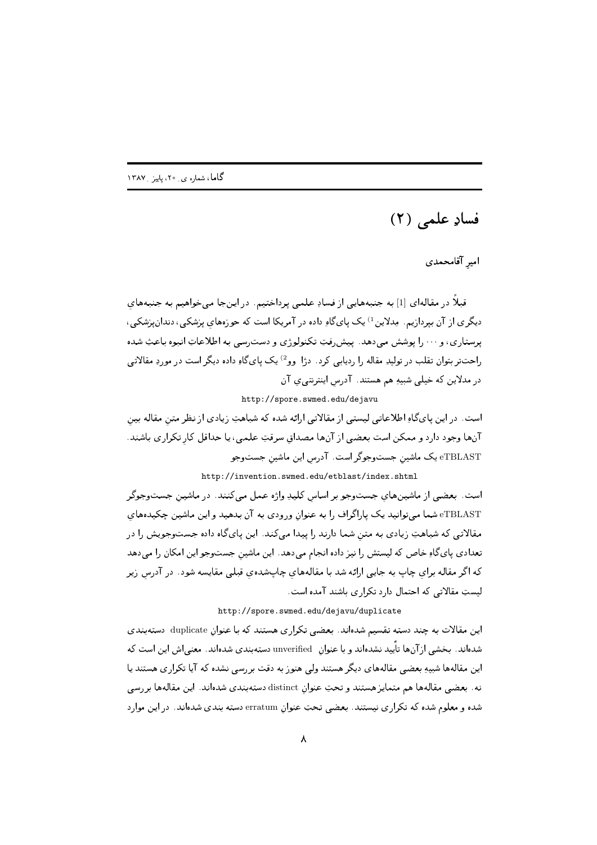## فسادِ علمي (٢)

امیر آقامحمدی

قبلاً در مقالهای [1] به جنبههایی از فسادِ علمی پرداختیم. در اینجا میخواهیم به جنبههایِ دیگری از آن بپردازیم. مِدلاین <sup>1)</sup> یک پایگاو داده در آمریکا است که حوزههای پزشکی، دندانپزشکی، پرستاري، و ۰۰۰ را پوشش مىدهد. پيشرفتِ تكنولوژي و دسترسى به اطلاعاتِ انبوه باعثِ شده راحت تر بتوان تقلب در تولیدِ مقاله را ردیابی کرد . دژا وو<sup>2)</sup> یک پای گاهِ داده دیگر است در موردِ مقالاتی در مدلاین که خیلی شبیهِ هم هستند. آدرس اینترنتی ی آن

http://spore.swmed.edu/dejavu

است. در این پایگاو اطلاعاتی لیستی از مقالاتی ارائه شده که شباهتِ زیادی از نظر متن مقاله بین آنها وجود دارد و ممكن است بعضي از آنها مصداق سرقتِ علمي، يا حداقل كار تكراري باشند. eTBLAST یک ماشین جستوجوگر است. آدرس این ماشین جستوجو

http://invention.swmed.edu/etblast/index.shtml

است. بعضی از ماشینهای جستوجو بر اساس کلیدِ واژه عمل می کنند. در ماشین جستوجوگر eTBLAST شما میتوانید یک پاراگراف را به عنوان ورودی به آن بدهید و این ماشین چکیدههای مقالاتی که شباهتِ زیادی به متن شما دارند را پیدا میکند. این پایگاه داده جستوجویش را در تعدادی یایگاو خاص که لیستش را نیز داده انجام میدهد. این ماشین جستوجو این امکان را میدهد که اگر مقاله برای چاپ به جایی ارائه شد با مقالههای چاپشدهی قبلی مقایسه شود . در آدرس زیر لیستِ مقالاتی که احتمال دارد تکراری باشند آمده است.

http://spore.swmed.edu/dejavu/duplicate

این مقالات به چند دسته تقسیم شدهاند. بعضی تکراری هستند که با عنوان duplicate دستهبندی شدهاند. بخشی ازآنها تأیید نشدهاند و با عنوان unverified دستهبندی شدهاند. معنی اش این است که این مقالهها شبیهِ بعضی مقالههای دیگر هستند ولی هنوزبه دقت بررسی نشده که آیا تکراری هستند یا نه. بعضبي مقالهها هم متمايز هستند و تحتِ عنوان distinct دستهبندي شدهاند. اين مقالهها بررسي شده و معلوم شده كه تكراري نيستند. بعضي تحتِ عنوانِ erratum دسته بندي شدهاند. در اين موارد